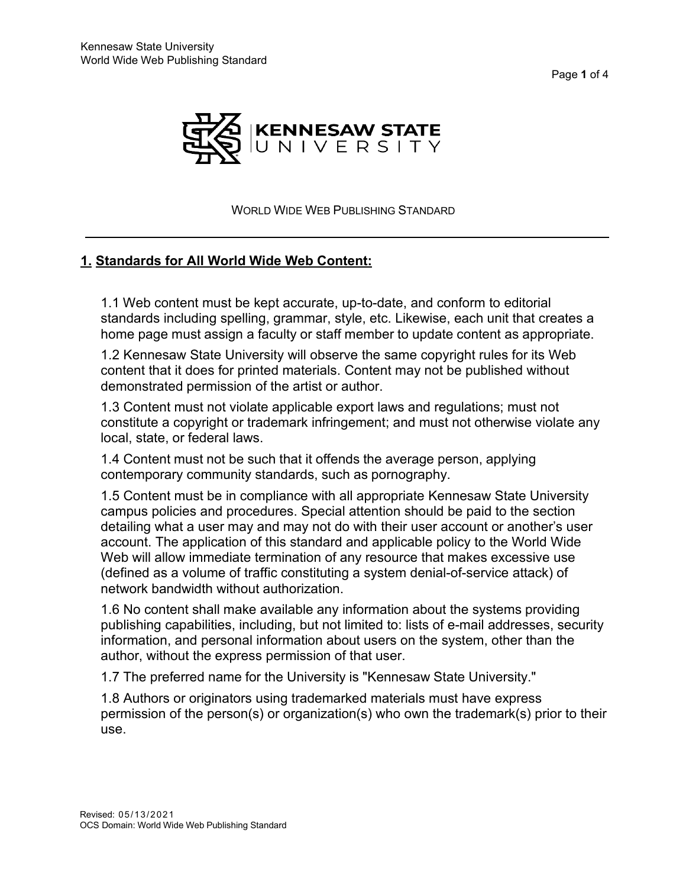Page **1** of 4



WORLD WIDE WEB PUBLISHING STANDARD

#### **1. Standards for All World Wide Web Content:**

1.1 Web content must be kept accurate, up-to-date, and conform to editorial standards including spelling, grammar, style, etc. Likewise, each unit that creates a home page must assign a faculty or staff member to update content as appropriate.

1.2 Kennesaw State University will observe the same copyright rules for its Web content that it does for printed materials. Content may not be published without demonstrated permission of the artist or author.

1.3 Content must not violate applicable export laws and regulations; must not constitute a copyright or trademark infringement; and must not otherwise violate any local, state, or federal laws.

1.4 Content must not be such that it offends the average person, applying contemporary community standards, such as pornography.

1.5 Content must be in compliance with all appropriate Kennesaw State University campus policies and procedures. Special attention should be paid to the section detailing what a user may and may not do with their user account or another's user account. The application of this standard and applicable policy to the World Wide Web will allow immediate termination of any resource that makes excessive use (defined as a volume of traffic constituting a system denial-of-service attack) of network bandwidth without authorization.

1.6 No content shall make available any information about the systems providing publishing capabilities, including, but not limited to: lists of e-mail addresses, security information, and personal information about users on the system, other than the author, without the express permission of that user.

1.7 The preferred name for the University is "Kennesaw State University."

1.8 Authors or originators using trademarked materials must have express permission of the person(s) or organization(s) who own the trademark(s) prior to their use.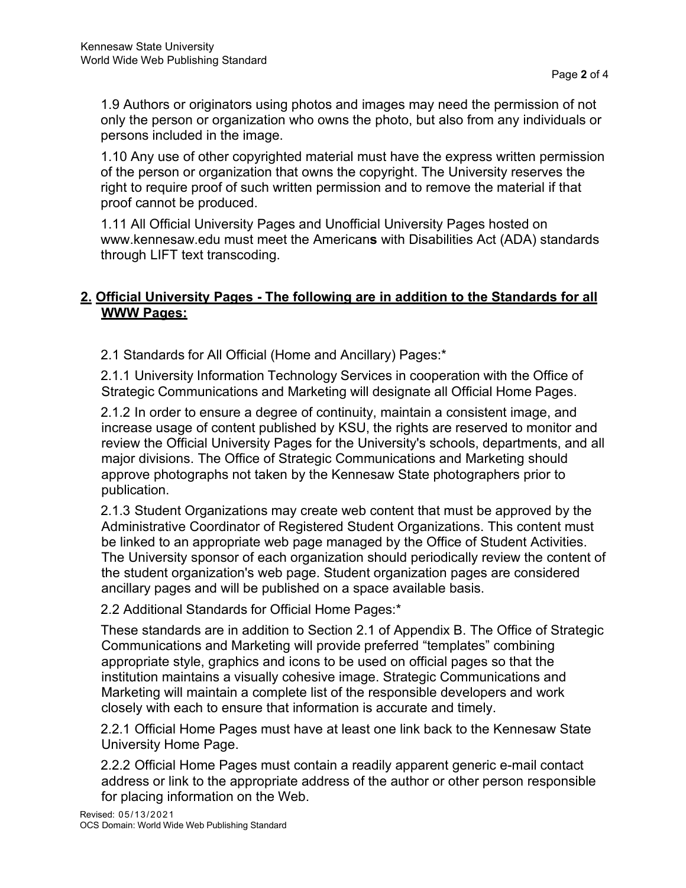1.9 Authors or originators using photos and images may need the permission of not only the person or organization who owns the photo, but also from any individuals or persons included in the image.

1.10 Any use of other copyrighted material must have the express written permission of the person or organization that owns the copyright. The University reserves the right to require proof of such written permission and to remove the material if that proof cannot be produced.

1.11 All Official University Pages and Unofficial University Pages hosted on [www.kennesaw.edu m](http://www.kennesaw.edu/)ust meet the American**s** with Disabilities Act (ADA) standards through LIFT text transcoding.

# **2. Official University Pages - The following are in addition to the Standards for all WWW Pages:**

2.1 Standards for All Official (Home and Ancillary) Pages:\*

2.1.1 University Information Technology Services in cooperation with the Office of Strategic Communications and Marketing will designate all Official Home Pages.

2.1.2 In order to ensure a degree of continuity, maintain a consistent image, and increase usage of content published by KSU, the rights are reserved to monitor and review the Official University Pages for the University's schools, departments, and all major divisions. The Office of Strategic Communications and Marketing should approve photographs not taken by the Kennesaw State photographers prior to publication.

2.1.3 Student Organizations may create web content that must be approved by the Administrative Coordinator of Registered Student Organizations. This content must be linked to an appropriate web page managed by the Office of Student Activities. The University sponsor of each organization should periodically review the content of the student organization's web page. Student organization pages are considered ancillary pages and will be published on a space available basis.

2.2 Additional Standards for Official Home Pages:\*

These standards are in addition to Section 2.1 of Appendix B. The Office of Strategic Communications and Marketing will provide preferred "templates" combining appropriate style, graphics and icons to be used on official pages so that the institution maintains a visually cohesive image. Strategic Communications and Marketing will maintain a complete list of the responsible developers and work closely with each to ensure that information is accurate and timely.

2.2.1 Official Home Pages must have at least one link back to the Kennesaw State University Home Page.

2.2.2 Official Home Pages must contain a readily apparent generic e-mail contact address or link to the appropriate address of the author or other person responsible for placing information on the Web.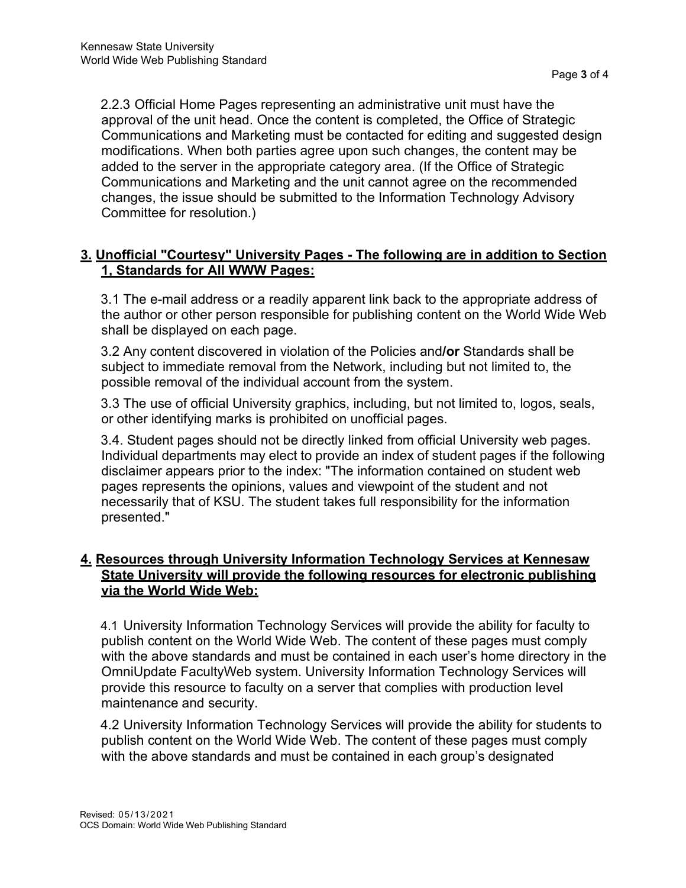2.2.3 Official Home Pages representing an administrative unit must have the approval of the unit head. Once the content is completed, the Office of Strategic Communications and Marketing must be contacted for editing and suggested design modifications. When both parties agree upon such changes, the content may be added to the server in the appropriate category area. (If the Office of Strategic Communications and Marketing and the unit cannot agree on the recommended changes, the issue should be submitted to the Information Technology Advisory Committee for resolution.)

## **3. Unofficial "Courtesy" University Pages - The following are in addition to Section 1, Standards for All WWW Pages:**

3.1 The e-mail address or a readily apparent link back to the appropriate address of the author or other person responsible for publishing content on the World Wide Web shall be displayed on each page.

3.2 Any content discovered in violation of the Policies and**/or** Standards shall be subject to immediate removal from the Network, including but not limited to, the possible removal of the individual account from the system.

3.3 The use of official University graphics, including, but not limited to, logos, seals, or other identifying marks is prohibited on unofficial pages.

3.4. Student pages should not be directly linked from official University web pages. Individual departments may elect to provide an index of student pages if the following disclaimer appears prior to the index: "The information contained on student web pages represents the opinions, values and viewpoint of the student and not necessarily that of KSU. The student takes full responsibility for the information presented."

## **4. Resources through University Information Technology Services at Kennesaw State University will provide the following resources for electronic publishing via the World Wide Web:**

4.1 University Information Technology Services will provide the ability for faculty to publish content on the World Wide Web. The content of these pages must comply with the above standards and must be contained in each user's home directory in the OmniUpdate FacultyWeb system. University Information Technology Services will provide this resource to faculty on a server that complies with production level maintenance and security.

4.2 University Information Technology Services will provide the ability for students to publish content on the World Wide Web. The content of these pages must comply with the above standards and must be contained in each group's designated